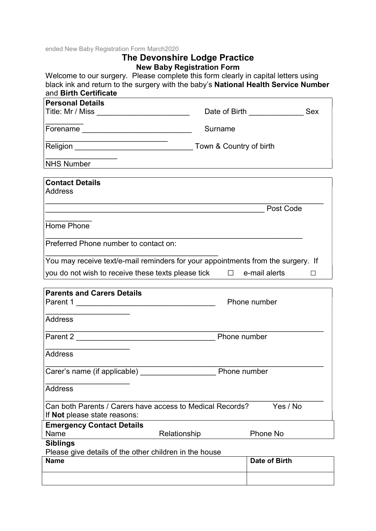ended New Baby Registration Form March2020

## The Devonshire Lodge Practice New Baby Registration Form

Welcome to our surgery. Please complete this form clearly in capital letters using black ink and return to the surgery with the baby's National Health Service Number and Birth Certificate

| <b>Personal Details</b>                                                                          |              |                      |   |
|--------------------------------------------------------------------------------------------------|--------------|----------------------|---|
|                                                                                                  |              | Date of Birth Sex    |   |
|                                                                                                  | Surname      |                      |   |
|                                                                                                  |              |                      |   |
| NHS Number NHS Number                                                                            |              |                      |   |
| <b>Contact Details</b>                                                                           |              |                      |   |
| <b>Address</b>                                                                                   |              |                      |   |
|                                                                                                  |              | Post Code            |   |
| Home Phone                                                                                       |              |                      |   |
| Preferred Phone number to contact on:                                                            |              |                      |   |
| You may receive text/e-mail reminders for your appointments from the surgery. If                 |              |                      |   |
| you do not wish to receive these texts please tick $\Box$ e-mail alerts                          |              |                      | П |
| <b>Parents and Carers Details</b>                                                                |              |                      |   |
|                                                                                                  |              | Phone number         |   |
| <b>Address</b>                                                                                   |              |                      |   |
|                                                                                                  | Phone number |                      |   |
| <b>Address</b>                                                                                   |              |                      |   |
| Carer's name (if applicable)<br>Phone number                                                     |              |                      |   |
| <b>Address</b>                                                                                   |              |                      |   |
| Can both Parents / Carers have access to Medical Records?<br>If <b>Not</b> please state reasons: |              | Yes / No             |   |
| <b>Emergency Contact Details</b>                                                                 |              |                      |   |
| Name<br>Relationship                                                                             |              | Phone No             |   |
| <b>Siblings</b><br>Please give details of the other children in the house                        |              |                      |   |
| <b>Name</b>                                                                                      |              | <b>Date of Birth</b> |   |
|                                                                                                  |              |                      |   |